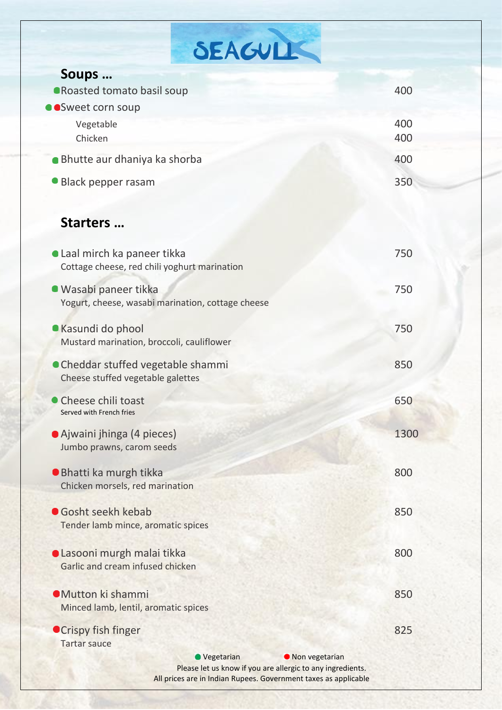| SEAGULL                                                                                      |      |
|----------------------------------------------------------------------------------------------|------|
| Soups                                                                                        |      |
| <b>•Roasted tomato basil soup</b>                                                            | 400  |
| Sweet corn soup                                                                              |      |
| Vegetable                                                                                    | 400  |
| Chicken                                                                                      | 400  |
| · Bhutte aur dhaniya ka shorba                                                               | 400  |
| • Black pepper rasam                                                                         | 350  |
|                                                                                              |      |
| Starters                                                                                     |      |
| • Laal mirch ka paneer tikka                                                                 | 750  |
| Cottage cheese, red chili yoghurt marination                                                 |      |
| • Wasabi paneer tikka                                                                        | 750  |
| Yogurt, cheese, wasabi marination, cottage cheese                                            |      |
| • Kasundi do phool                                                                           | 750  |
| Mustard marination, broccoli, cauliflower                                                    |      |
| • Cheddar stuffed vegetable shammi                                                           | 850  |
| Cheese stuffed vegetable galettes                                                            |      |
| Cheese chili toast                                                                           | 650  |
| Served with French fries                                                                     |      |
| • Ajwaini jhinga (4 pieces)                                                                  | 1300 |
| Jumbo prawns, carom seeds                                                                    |      |
| ● Bhatti ka murgh tikka                                                                      | 800  |
| Chicken morsels, red marination                                                              |      |
| Gosht seekh kebab                                                                            | 850  |
| Tender lamb mince, aromatic spices                                                           |      |
| ● Lasooni murgh malai tikka                                                                  | 800  |
| Garlic and cream infused chicken                                                             |      |
| <b>OMutton ki shammi</b>                                                                     | 850  |
| Minced lamb, lentil, aromatic spices                                                         |      |
| ● Crispy fish finger                                                                         | 825  |
| <b>Tartar sauce</b>                                                                          |      |
| Vegetarian<br>• Non vegetarian<br>Please let us know if you are allergic to any ingredients. |      |
| All prices are in Indian Rupees. Government taxes as applicable                              |      |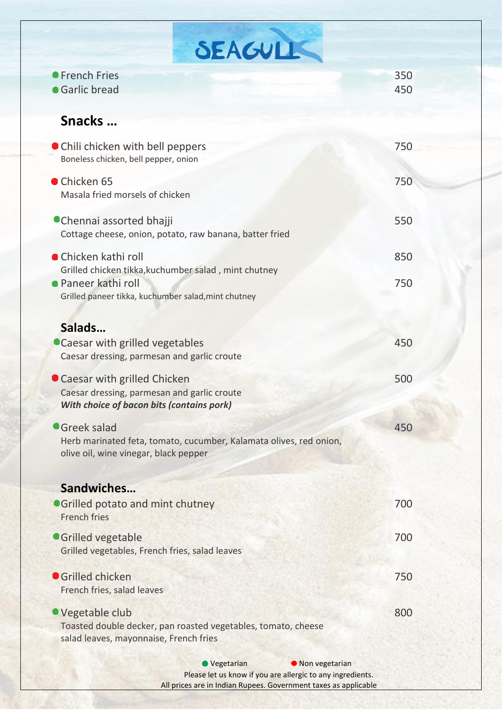| SEAGULL                                                                                                                     |            |
|-----------------------------------------------------------------------------------------------------------------------------|------------|
| ● French Fries<br>• Garlic bread                                                                                            | 350<br>450 |
| Snacks                                                                                                                      |            |
| • Chili chicken with bell peppers<br>Boneless chicken, bell pepper, onion                                                   | 750        |
| Chicken 65<br>Masala fried morsels of chicken                                                                               | 750        |
| ● Chennai assorted bhajji<br>Cottage cheese, onion, potato, raw banana, batter fried                                        | 550        |
| ● Chicken kathi roll<br>Grilled chicken tikka, kuchumber salad, mint chutney                                                | 850        |
| ● Paneer kathi roll<br>Grilled paneer tikka, kuchumber salad, mint chutney                                                  | 750        |
| Salads<br>• Caesar with grilled vegetables<br>Caesar dressing, parmesan and garlic croute                                   | 450        |
| • Caesar with grilled Chicken<br>Caesar dressing, parmesan and garlic croute<br>With choice of bacon bits (contains pork)   | 500        |
| Greek salad<br>Herb marinated feta, tomato, cucumber, Kalamata olives, red onion,<br>olive oil, wine vinegar, black pepper  | 450        |
| Sandwiches<br><b>OGrilled potato and mint chutney</b><br><b>French fries</b>                                                | 700        |
| <b>Grilled vegetable</b><br>Grilled vegetables, French fries, salad leaves                                                  | 700        |
| <b>Grilled chicken</b><br>French fries, salad leaves                                                                        | 750        |
| ● Vegetable club<br>Toasted double decker, pan roasted vegetables, tomato, cheese<br>salad leaves, mayonnaise, French fries | 800        |
| Vegetarian<br>lackbon vegetarian                                                                                            |            |

Please let us know if you are allergic to any ingredients. All prices are in Indian Rupees. Government taxes as applicable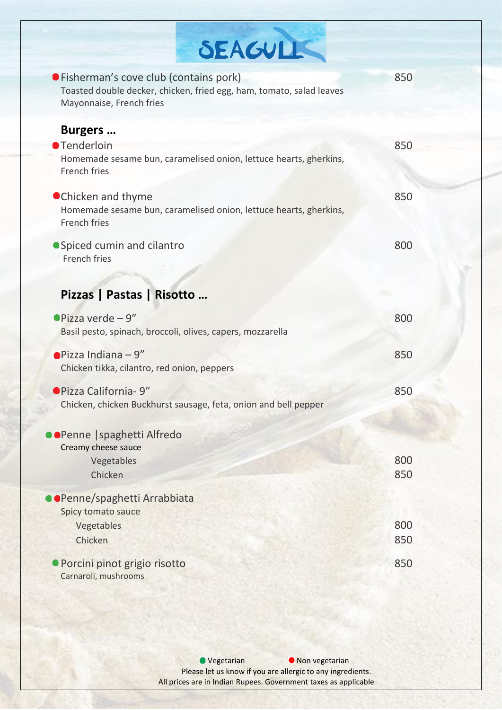| SEAGULK                                                                                                                                     |            |
|---------------------------------------------------------------------------------------------------------------------------------------------|------------|
| ● Fisherman's cove club (contains pork)<br>Toasted double decker, chicken, fried egg, ham, tomato, salad leaves<br>Mayonnaise, French fries | 850        |
| <b>Burgers</b><br><b>•Tenderloin</b><br>Homemade sesame bun, caramelised onion, lettuce hearts, gherkins,<br>French fries                   | 850        |
| ● Chicken and thyme<br>Homemade sesame bun, caramelised onion, lettuce hearts, gherkins,<br><b>French fries</b>                             | 850        |
| ● Spiced cumin and cilantro<br><b>French fries</b>                                                                                          | 800        |
| Pizzas   Pastas   Risotto                                                                                                                   |            |
| $\bullet$ Pizza verde - 9"<br>Basil pesto, spinach, broccoli, olives, capers, mozzarella                                                    | 800        |
| $\bullet$ Pizza Indiana - 9"<br>Chicken tikka, cilantro, red onion, peppers                                                                 | 850        |
| ● Pizza California- 9"<br>Chicken, chicken Buckhurst sausage, feta, onion and bell pepper                                                   | 850        |
| ● ● Penne   spaghetti Alfredo                                                                                                               |            |
| Creamy cheese sauce<br>Vegetables<br>Chicken                                                                                                | 800<br>850 |
| ●Penne/spaghetti Arrabbiata                                                                                                                 |            |
| Spicy tomato sauce<br>Vegetables<br>Chicken                                                                                                 | 800<br>850 |
| · Porcini pinot grigio risotto<br>Carnaroli, mushrooms                                                                                      | 850        |

● Vegetarian ● Non vegetarian Please let us know if you are allergic to any ingredients. All prices are in Indian Rupees. Government taxes as applicable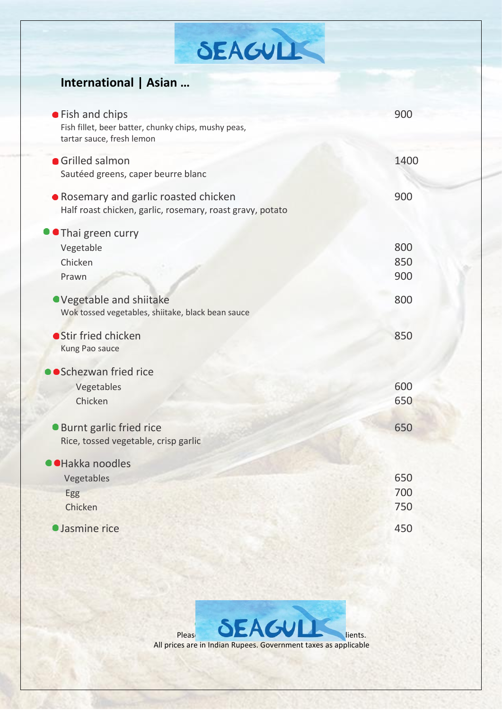# SEAGULES

#### **International | Asian …**

| • Fish and chips<br>Fish fillet, beer batter, chunky chips, mushy peas,<br>tartar sauce, fresh lemon | 900               |
|------------------------------------------------------------------------------------------------------|-------------------|
| <b>Grilled salmon</b><br>Sautéed greens, caper beurre blanc                                          | 1400              |
| Rosemary and garlic roasted chicken<br>Half roast chicken, garlic, rosemary, roast gravy, potato     | 900               |
| Thai green curry<br>Vegetable<br>Chicken<br>Prawn                                                    | 800<br>850<br>900 |
| ● Vegetable and shiitake<br>Wok tossed vegetables, shiitake, black bean sauce                        | 800               |
| <b>Stir fried chicken</b><br>Kung Pao sauce                                                          | 850               |
| ● Schezwan fried rice<br>Vegetables<br>Chicken                                                       | 600<br>650        |
| <b>Burnt garlic fried rice</b><br>Rice, tossed vegetable, crisp garlic                               | 650               |
| <b>Hakka noodles</b><br>Vegetables<br>Egg<br>Chicken                                                 | 650<br>700<br>750 |
| <b>Jasmine rice</b>                                                                                  | 450               |

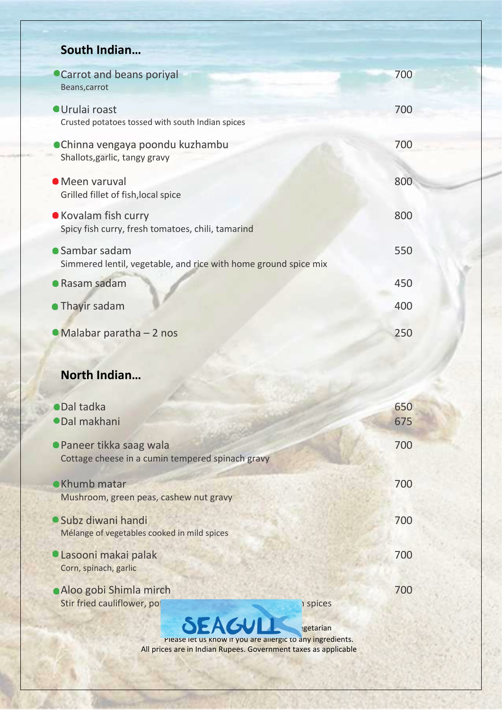#### **South Indian…**

| Carrot and beans poriyal<br>Beans, carrot                                         | 700        |
|-----------------------------------------------------------------------------------|------------|
| <b>Urulai roast</b><br>Crusted potatoes tossed with south Indian spices           | 700        |
| ● Chinna vengaya poondu kuzhambu<br>Shallots, garlic, tangy gravy                 | 700        |
| • Meen varuval<br>Grilled fillet of fish, local spice                             | 800        |
| • Kovalam fish curry<br>Spicy fish curry, fresh tomatoes, chili, tamarind         | 800        |
| • Sambar sadam<br>Simmered lentil, vegetable, and rice with home ground spice mix | 550        |
| ● Rasam sadam                                                                     | 450        |
| • Thayir sadam                                                                    | 400        |
| •Malabar paratha - 2 nos                                                          | 250        |
| North Indian                                                                      |            |
| <b>ODal tadka</b><br><b>ODal makhani</b>                                          | 650<br>675 |
| Paneer tikka saag wala<br>Cottage cheese in a cumin tempered spinach gravy        | 700        |
| • Khumb matar<br>Mushroom, green peas, cashew nut gravy                           | 700        |
| · Subz diwani handi<br>Mélange of vegetables cooked in mild spices                | 700        |

- Lasooni makai palak 700 Corn, spinach, garlic
- **Aloo gobi Shimla mirch 700** Stir fried cauliflower, potatoes and bell peppers with Indian spices

EAGULL <sub>Igetarian</sub> Please let us know if you are allergic to any ingredients. All prices are in Indian Rupees. Government taxes as applicable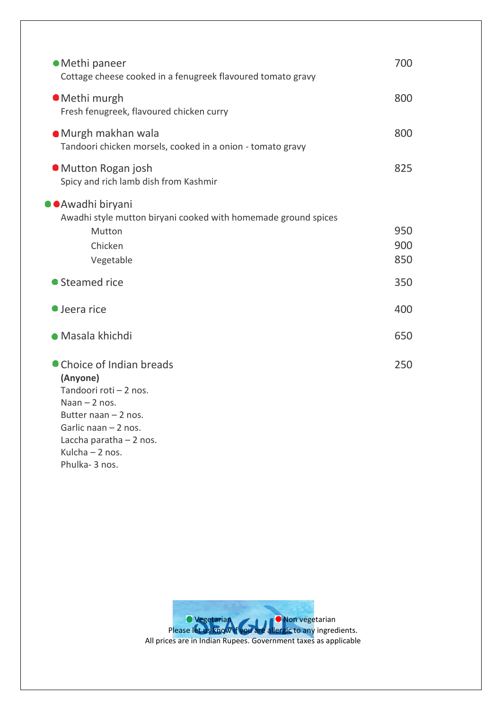| • Methi paneer<br>Cottage cheese cooked in a fenugreek flavoured tomato gravy                                                                                                                       | 700               |
|-----------------------------------------------------------------------------------------------------------------------------------------------------------------------------------------------------|-------------------|
| · Methi murgh<br>Fresh fenugreek, flavoured chicken curry                                                                                                                                           | 800               |
| · Murgh makhan wala<br>Tandoori chicken morsels, cooked in a onion - tomato gravy                                                                                                                   | 800               |
| • Mutton Rogan josh<br>Spicy and rich lamb dish from Kashmir                                                                                                                                        | 825               |
| ●●Awadhi biryani<br>Awadhi style mutton biryani cooked with homemade ground spices<br>Mutton<br>Chicken<br>Vegetable                                                                                | 950<br>900<br>850 |
| • Steamed rice                                                                                                                                                                                      | 350               |
| $\bullet$ Jeera rice                                                                                                                                                                                | 400               |
| • Masala khichdi                                                                                                                                                                                    | 650               |
| • Choice of Indian breads<br>(Anyone)<br>Tandoori roti - 2 nos.<br>Naan $-2$ nos.<br>Butter naan $-2$ nos.<br>Garlic naan $-2$ nos.<br>Laccha paratha $-2$ nos.<br>Kulcha - 2 nos.<br>Phulka-3 nos. | 250               |

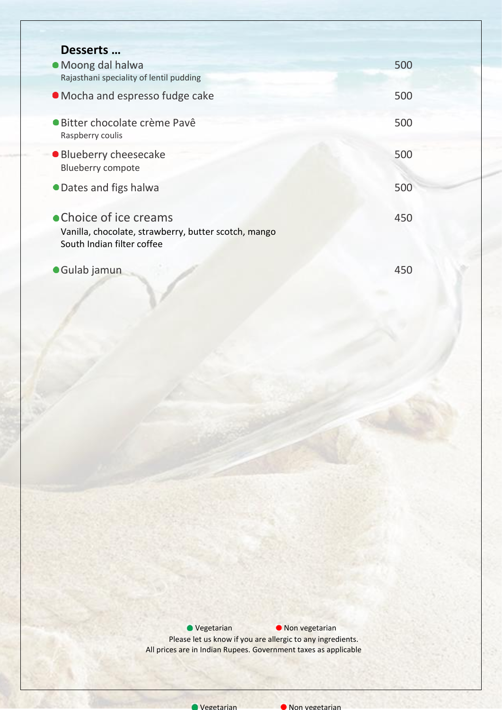| Desserts                                                                                                     |     |
|--------------------------------------------------------------------------------------------------------------|-----|
| • Moong dal halwa                                                                                            | 500 |
| Rajasthani speciality of lentil pudding                                                                      |     |
| • Mocha and espresso fudge cake                                                                              | 500 |
| <b>·</b> Bitter chocolate crème Pavê<br>Raspberry coulis                                                     | 500 |
| • Blueberry cheesecake<br><b>Blueberry compote</b>                                                           | 500 |
| • Dates and figs halwa                                                                                       | 500 |
| • Choice of ice creams<br>Vanilla, chocolate, strawberry, butter scotch, mango<br>South Indian filter coffee | 450 |

Gulab jamun 450

● Vegetarian ● Non vegetarian Please let us know if you are allergic to any ingredients. All prices are in Indian Rupees. Government taxes as applicable



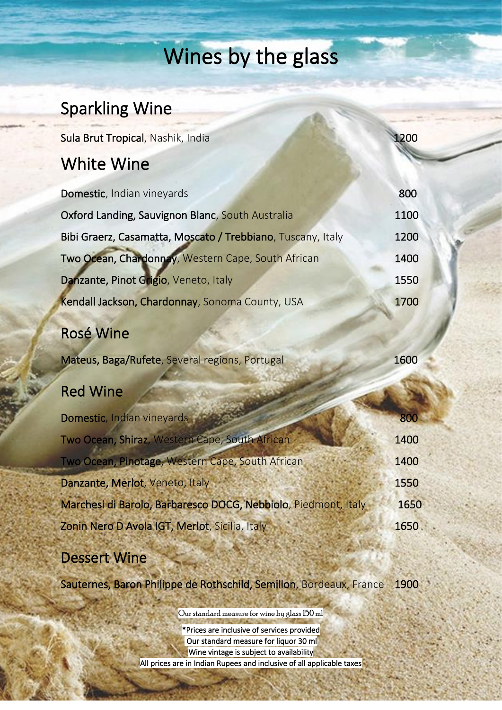# Wines by the glass

### Sparkling Wine

Sula Brut Tropical, Nashik, India 1200

#### White Wine

| Domestic, Indian vineyards                                     | 800  |
|----------------------------------------------------------------|------|
| Oxford Landing, Sauvignon Blanc, South Australia               | 1100 |
| Bibi Graerz, Casamatta, Moscato / Trebbiano, Tuscany, Italy    | 1200 |
| Two Ocean, Chardonnay, Western Cape, South African             | 1400 |
| Danzante, Pinot Grigio, Veneto, Italy                          | 1550 |
| Kendall Jackson, Chardonnay, Sonoma County, USA                | 1700 |
| <b>Rosé Wine</b>                                               |      |
| Mateus, Baga/Rufete, Several regions, Portugal                 | 1600 |
| <b>Red Wine</b>                                                |      |
| Domestic, Indian vineyards                                     | 800  |
| Two Ocean, Shiraz, Western Cape, South African                 | 1400 |
| Two Ocean, Pinotage, Western Cape, South African               | 1400 |
| Danzante, Merlot, Veneto, Italy                                | 1550 |
| Marchesi di Barolo, Barbaresco DOCG, Nebbiolo, Piedmont, Italy | 1650 |
| Zonin Nero D Avola IGT, Merlot, Sicilia, Italy                 | 1650 |

#### Dessert Wine

Sauternes, Baron Philippe de Rothschild, Semillon, Bordeaux, France 1900

Our standard measure for wine by glass 150 ml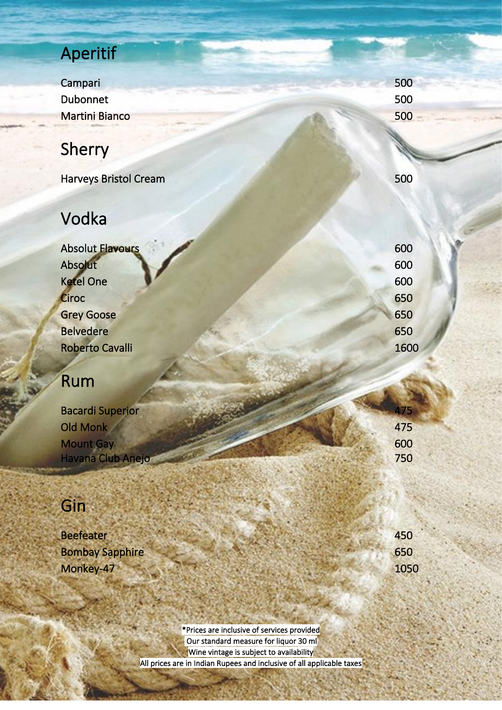# Aperitif

Campari 500 Dubonnet 500 Martini Bianco 500

# Sherry

Harveys Bristol Cream 500

## Vodka

Absolut Flavours 600 Absolut 600 Ketel One 600 Ciroc 650 Grey Goose 650 Belvedere 650 Roberto Cavalli 1600

# Rum

| <b>Bacardi Superior</b> |  |     |
|-------------------------|--|-----|
| <b>Old Monk</b>         |  | 475 |
| <b>Mount Gay</b>        |  | 600 |
| Havana Club Anejo       |  | 750 |

# Gin

į

**Contract** 

| <b>Beefeater</b>       | 450  |
|------------------------|------|
| <b>Bombay Sapphire</b> | 650  |
| Monkey-47              | 1050 |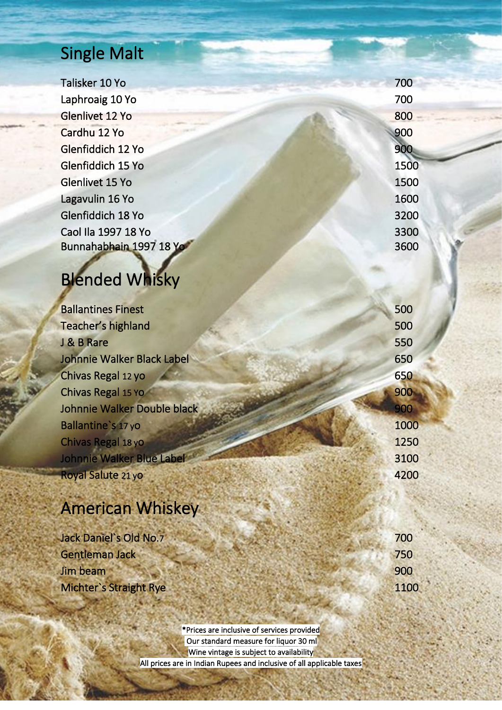## Single Malt

Talisker 10 Yo 700 **Laphroaig 10 Yo 700** Glenlivet 12 Yo 800 **Cardhu 12 Yo** 900 Glenfiddich 12 Yo 900 Glenfiddich 15 Yo 1500 **Glenlivet 15 Yo 1500** Lagavulin 16 Yo 1600 Glenfiddich 18 Yo 3200 Caol Ila 1997 18 Yo 3300 Bunnahabhain 1997 18 Yo 3600

# Blended Whisky

| <b>Ballantines Finest</b>   | 500  |
|-----------------------------|------|
| Teacher's highland          | 500  |
| J & B Rare                  | 550  |
| Johnnie Walker Black Label  | 650  |
| Chivas Regal 12 yo          | 650  |
| Chivas Regal 15 Yo          | 900  |
| Johnnie Walker Double black | 900  |
| Ballantine's 17 yo          | 1000 |
| Chivas Regal 18 yo          | 1250 |
| Johnnie Walker Blue Label   | 3100 |
| Royal Salute 21 yo          | 4200 |

# American Whiskey

| Jack Daniel's Old No.7        | 700  |
|-------------------------------|------|
| Gentleman Jack                | 750  |
| Jim beam                      | 900  |
| <b>Michter's Straight Rye</b> | 1100 |
|                               |      |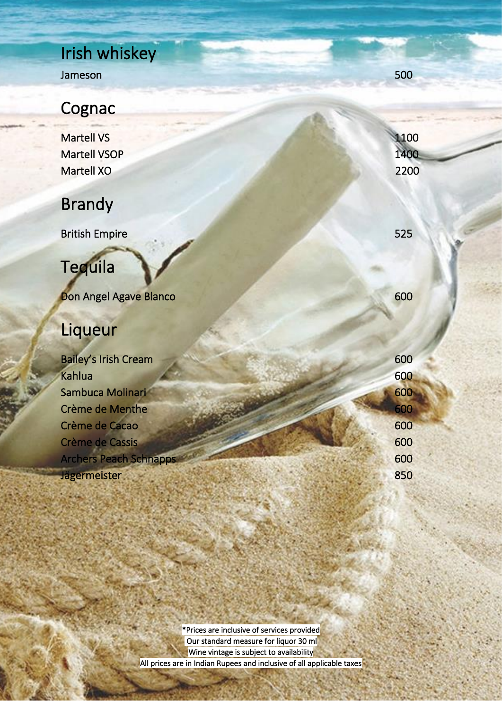### Irish whiskey Jameson 500

## **Cognac**

Martell VS 1100 Martell VSOP 1400 Martell XO 2200

## Brandy

**British Empire 525** 

# **Tequila**

**Don Angel Agave Blanco** 600

# Liqueur

į

**Side** 

i<br>S

**Second** 

| <b>Bailey's Irish Cream</b>   | 600 |
|-------------------------------|-----|
| <b>Kahlua</b>                 | 600 |
| Sambuca Molinari              | 600 |
| Crème de Menthe               | 600 |
| Crème de Cacao                | 600 |
| Crème de Cassis               | 600 |
| <b>Archers Peach Schnapps</b> | 600 |
| <b>Jägermeister</b>           | 850 |
|                               |     |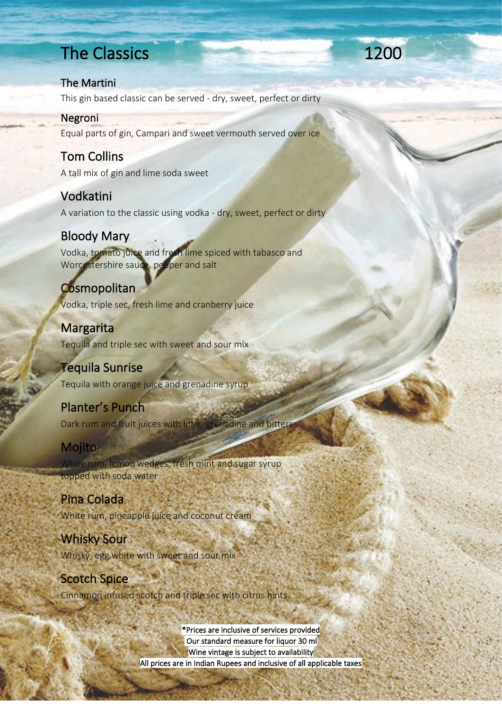### The Classics **1200**

#### The Martini

This gin based classic can be served - dry, sweet, perfect or dirty

#### Negroni

Equal parts of gin, Campari and sweet vermouth served over ice

#### Tom Collins

A tall mix of gin and lime soda sweet

#### Vodkatini

A variation to the classic using vodka - dry, sweet, perfect or dirty

#### Bloody Mary

Vodka, tomato juice and fresh lime spiced with tabasco and Worcestershire sauce, pepper and salt

**Cosmopolitan** Vodka, triple sec, fresh lime and cranberry juice

**Margarita** Tequila and triple sec with sweet and sour mix

#### Tequila Sunrise

Tequila with orange juice and grenadine syrup

#### Planter's Punch

Dark rum and fruit juices with lime, grenadine and bitters

#### Mojito

White rum, lemon wedges, fresh mint and sugar syrup topped with soda water

#### Pina Colada

White rum, pineapple juice and coconut cream

#### Whisky Sour Whisky, egg white with sweet and sour mix

Scotch Spice Cinnamon infused scotch and triple sec with citrus hints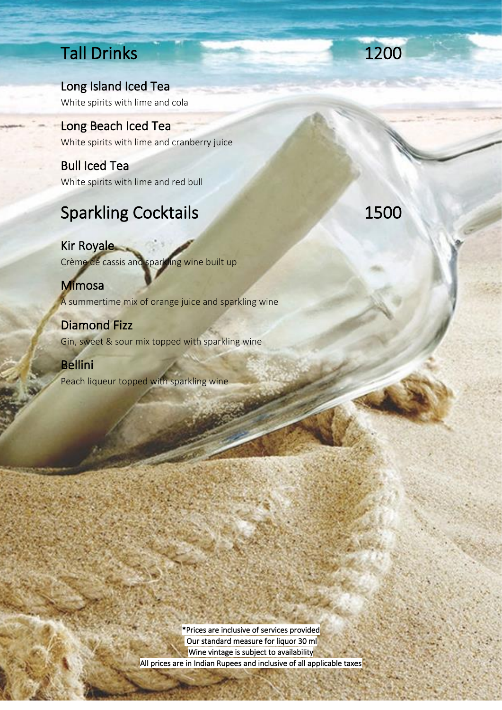## Tall Drinks 1200

Long Island Iced Tea White spirits with lime and cola

Long Beach Iced Tea White spirits with lime and cranberry juice

Bull Iced Tea White spirits with lime and red bull

# Sparkling Cocktails 1500

Kir Royale Crème de cassis and sparkling wine built up

Mimosa A summertime mix of orange juice and sparkling wine

Diamond Fizz Gin, sweet & sour mix topped with sparkling wine

Bellini Peach liqueur topped with sparkling wine

医鼻回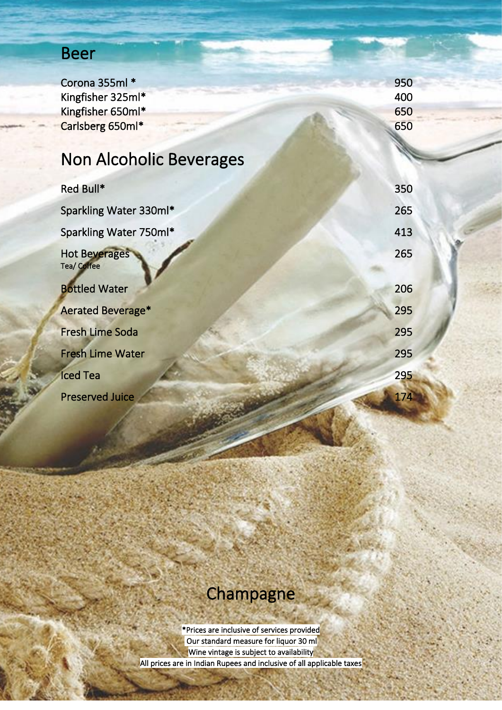## Beer

| Corona 355ml *                 | 950 |
|--------------------------------|-----|
| Kingfisher 325ml*              | 400 |
| Kingfisher 650ml*              | 650 |
| Carlsberg 650ml*               | 650 |
|                                |     |
| <b>Non Alcoholic Beverages</b> |     |
|                                |     |
| Red Bull*                      | 350 |
| Sparkling Water 330ml*         | 265 |
|                                |     |
| Sparkling Water 750ml*         | 413 |
| <b>Hot Beverages</b>           | 265 |
| <b>Tea/Coffee</b>              |     |
| <b>Bottled Water</b>           | 206 |
|                                | 295 |
| Aerated Beverage*              |     |
| <b>Fresh Lime Soda</b>         | 295 |
| <b>Fresh Lime Water</b>        | 295 |
|                                |     |
| <b>Iced Tea</b>                | 295 |
| <b>Preserved Juice</b>         | 174 |
|                                |     |

# **Champagne**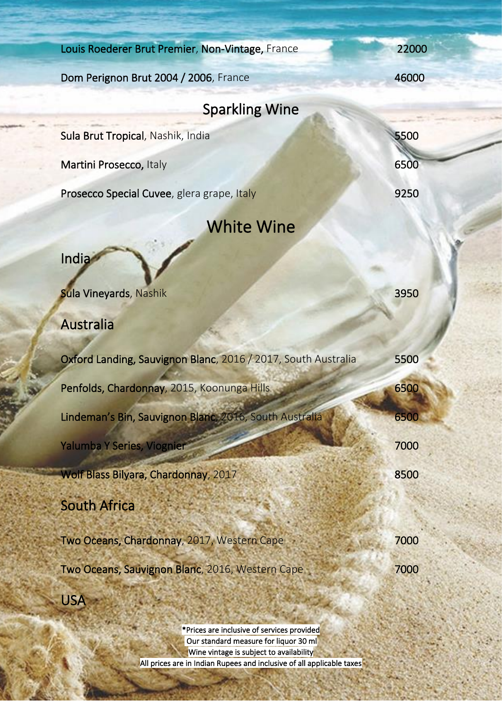| Louis Roederer Brut Premier, Non-Vintage, France              | 22000 |
|---------------------------------------------------------------|-------|
| Dom Perignon Brut 2004 / 2006, France                         | 46000 |
| <b>Sparkling Wine</b>                                         |       |
| Sula Brut Tropical, Nashik, India                             | 5500  |
| Martini Prosecco, Italy                                       | 6500  |
| Prosecco Special Cuvee, glera grape, Italy                    | 9250  |
| <b>White Wine</b>                                             |       |
| India                                                         |       |
| <b>Sula Vineyards, Nashik</b>                                 | 3950  |
|                                                               |       |
| Australia                                                     |       |
| Oxford Landing, Sauvignon Blanc, 2016 / 2017, South Australia | 5500  |
| Penfolds, Chardonnay, 2015, Koonunga Hills                    | 6500  |
| Lindeman's Bin, Sauvignon Blanc, 2016, South Australia        | 6500  |
| Yalumba Y Series, Viognier                                    | 7000  |
| Wolf Blass Bilyara, Chardonnay, 2017                          | 8500  |
| <b>South Africa</b>                                           |       |
| Two Oceans, Chardonnay, 2017, Western Cape                    | 7000  |
| Two Oceans, Sauvignon Blanc, 2016, Western Cape               | 7000  |
| <b>USA</b>                                                    |       |
|                                                               |       |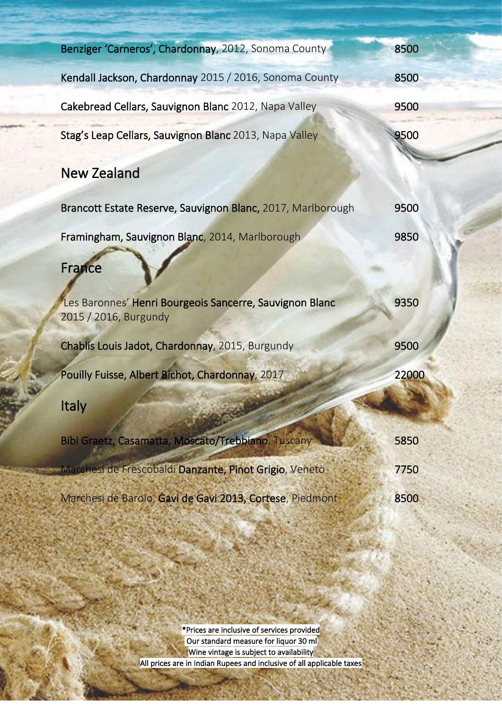| Benziger 'Carneros', Chardonnay, 2012, Sonoma County                             | 8500  |
|----------------------------------------------------------------------------------|-------|
| Kendall Jackson, Chardonnay 2015 / 2016, Sonoma County                           | 8500  |
| Cakebread Cellars, Sauvignon Blanc 2012, Napa Valley                             | 9500  |
| Stag's Leap Cellars, Sauvignon Blanc 2013, Napa Valley                           | 9500  |
| <b>New Zealand</b>                                                               |       |
| Brancott Estate Reserve, Sauvignon Blanc, 2017, Marlborough                      | 9500  |
| Framingham, Sauvignon Blanc, 2014, Marlborough                                   | 9850  |
| France                                                                           |       |
| Les Baronnes' Henri Bourgeois Sancerre, Sauvignon Blanc<br>2015 / 2016, Burgundy | 9350  |
| Chablis Louis Jadot, Chardonnay, 2015, Burgundy                                  | 9500  |
| Pouilly Fuisse, Albert Bichot, Chardonnay, 2017                                  | 22000 |
| Italy                                                                            |       |
| Bibi Graetz, Casamatta, Moscato/Trebbiano, Tuscany                               | 5850  |
| Marchesi de Frescobaldi Danzante, Pinot Grigio, Veneto                           | 7750  |
| Marchesi de Barolo, Gavi de Gavi 2013, Cortese, Piedmont                         | 8500  |

 $\overline{a}$ 

\*Prices are inclusive of services provided Our standard measure for liquor 30 ml Wine vintage is subject to availability All prices are in Indian Rupees and inclusive of all applicable taxes

l

i<br>S

į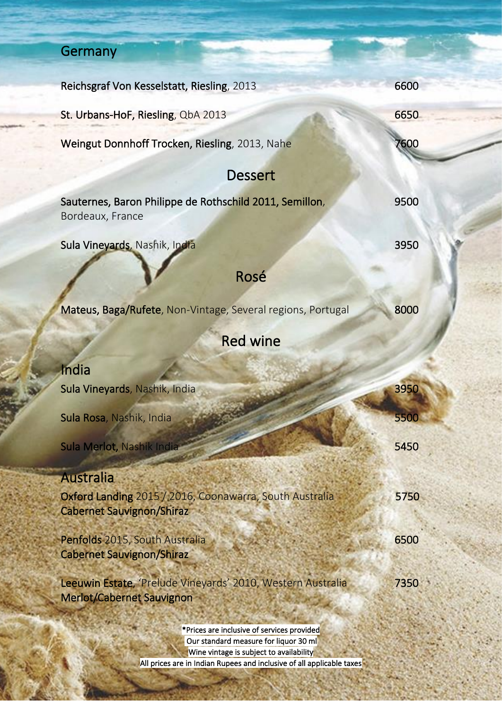# **Germany**

| Reichsgraf Von Kesselstatt, Riesling, 2013                                                      | 6600 |
|-------------------------------------------------------------------------------------------------|------|
| St. Urbans-HoF, Riesling, QbA 2013                                                              | 6650 |
| Weingut Donnhoff Trocken, Riesling, 2013, Nahe                                                  | 7600 |
| <b>Dessert</b>                                                                                  |      |
| Sauternes, Baron Philippe de Rothschild 2011, Semillon,<br>Bordeaux, France                     | 9500 |
| Sula Vineyards, Nashik, India                                                                   | 3950 |
| Rosé                                                                                            |      |
| Mateus, Baga/Rufete, Non-Vintage, Several regions, Portugal                                     | 8000 |
| <b>Red wine</b>                                                                                 |      |
| India                                                                                           |      |
| Sula Vineyards, Nashik, India                                                                   | 3950 |
| Sula Rosa, Nashik, India                                                                        | 5500 |
| Sula Merlot, Nashik India                                                                       | 5450 |
| <b>Australia</b>                                                                                |      |
| Oxford Landing 2015 / 2016, Coonawarra, South Australia<br><b>Cabernet Sauvignon/Shiraz</b>     | 5750 |
| Penfolds 2015, South Australia<br><b>Cabernet Sauvignon/Shiraz</b>                              | 6500 |
| Leeuwin Estate, 'Prelude Vineyards' 2010, Western Australia<br><b>Merlot/Cabernet Sauvignon</b> | 7350 |
| *Prices are inclusive of services provided                                                      |      |

 Our standard measure for liquor 30 ml Wine vintage is subject to availability All prices are in Indian Rupees and inclusive of all applicable taxes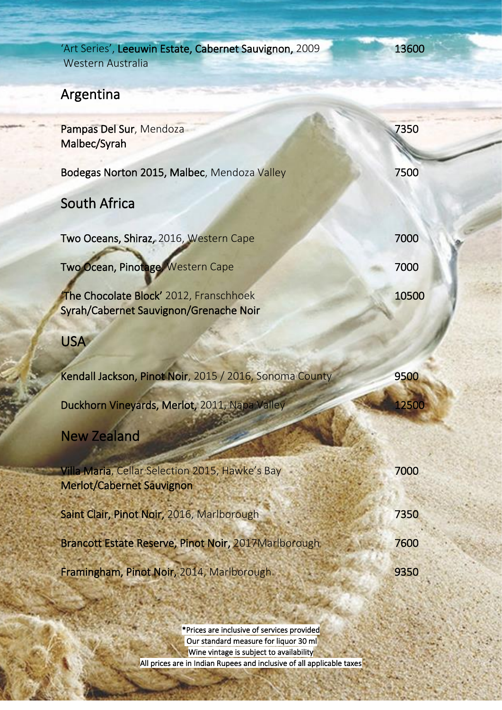| 'Art Series', Leeuwin Estate, Cabernet Sauvignon, 2009<br><b>Western Australia</b>  | 13600        |
|-------------------------------------------------------------------------------------|--------------|
| Argentina                                                                           |              |
| Pampas Del Sur, Mendoza<br>Malbec/Syrah                                             | 7350         |
| Bodegas Norton 2015, Malbec, Mendoza Valley                                         | 7500         |
| <b>South Africa</b>                                                                 |              |
| Two Oceans, Shiraz, 2016, Western Cape                                              | 7000         |
| Two Ocean, Pinotage, Western Cape                                                   | 7000         |
| The Chocolate Block' 2012, Franschhoek<br>Syrah/Cabernet Sauvignon/Grenache Noir    | 10500        |
| <b>USA</b>                                                                          |              |
| Kendall Jackson, Pinot Noir, 2015 / 2016, Sonoma County                             | 9500         |
| Duckhorn Vineyards, Merlot, 2011, Napa Valley                                       | <b>12500</b> |
| <b>New Zealand</b>                                                                  |              |
| Villa Maria, Cellar Selection 2015, Hawke's Bay<br><b>Merlot/Cabernet Sauvignon</b> | 7000         |
| Saint Clair, Pinot Noir, 2016, Marlborough                                          | 7350         |
| Brancott Estate Reserve, Pinot Noir, 2017Marlborough.                               | 7600         |
| Framingham, Pinot Noir, 2014, Marlborough                                           | 9350         |

į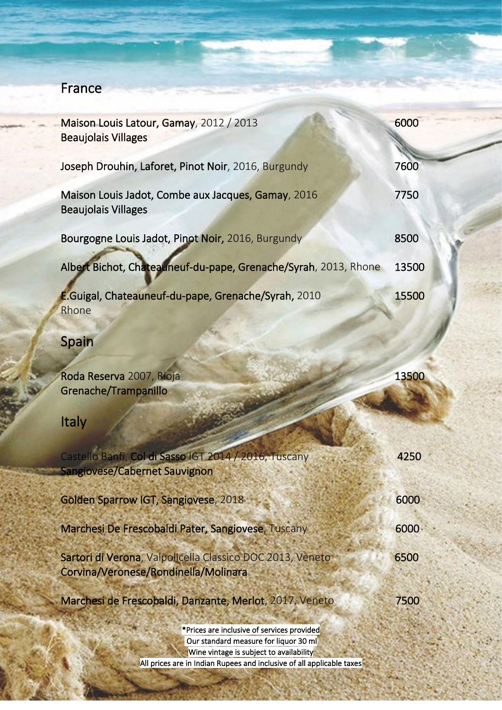#### France

| Maison Louis Latour, Gamay, 2012 / 2013<br><b>Beaujolais Villages</b>                             | 6000  |
|---------------------------------------------------------------------------------------------------|-------|
| Joseph Drouhin, Laforet, Pinot Noir, 2016, Burgundy                                               | 7600  |
| Maison Louis Jadot, Combe aux Jacques, Gamay, 2016<br><b>Beaujolais Villages</b>                  | 7750  |
| Bourgogne Louis Jadot, Pinot Noir, 2016, Burgundy                                                 | 8500  |
| Albert Bichot, Chateauneuf-du-pape, Grenache/Syrah, 2013, Rhone                                   | 13500 |
| E.Guigal, Chateauneuf-du-pape, Grenache/Syrah, 2010<br>Rhone                                      | 15500 |
| <b>Spain</b>                                                                                      |       |
| Roda Reserva 2007, Rioja<br>Grenache/Trampanillo                                                  | 13500 |
| Italy                                                                                             |       |
| Castello Banfi, Col di Sasso IGT 2014 / 2016, Tuscany<br>Sangiovese/Cabernet Sauvignon            | 4250  |
| <b>Golden Sparrow IGT, Sangiovese, 2018</b>                                                       | 6000  |
| Marchesi De Frescobaldi Pater, Sangiovese, Tuscany                                                | 6000  |
| Sartori di Verona, Valpolicella Classico DOC 2013, Veneto<br>Corvina/Veronese/Rondinella/Molinara | 6500  |
| Marchesi de Frescobaldi, Danzante, Merlot, 2017, Veneto                                           | 7500  |
| *Prices are inclusive of services provided<br>Tur standard measure for liquor 30 ml               |       |

 Our standard measure for liquor 30 ml Wine vintage is subject to availability All prices are in Indian Rupees and inclusive of all applicable taxes